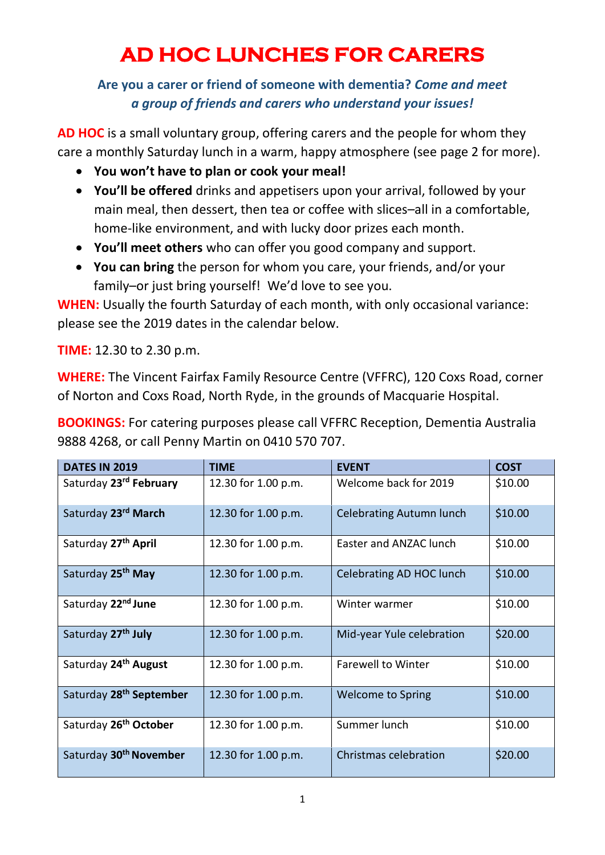# **AD HOC LUNCHES FOR CARERS**

## **Are you a carer or friend of someone with dementia?** *Come and meet a group of friends and carers who understand your issues!*

**AD HOC** is a small voluntary group, offering carers and the people for whom they care a monthly Saturday lunch in a warm, happy atmosphere (see page 2 for more).

- **You won't have to plan or cook your meal!**
- **You'll be offered** drinks and appetisers upon your arrival, followed by your main meal, then dessert, then tea or coffee with slices–all in a comfortable, home-like environment, and with lucky door prizes each month.
- **You'll meet others** who can offer you good company and support.
- **You can bring** the person for whom you care, your friends, and/or your family–or just bring yourself! We'd love to see you.

**WHEN:** Usually the fourth Saturday of each month, with only occasional variance: please see the 2019 dates in the calendar below.

**TIME:** 12.30 to 2.30 p.m.

**WHERE:** The Vincent Fairfax Family Resource Centre (VFFRC), 120 Coxs Road, corner of Norton and Coxs Road, North Ryde, in the grounds of Macquarie Hospital.

**BOOKINGS:** For catering purposes please call VFFRC Reception, Dementia Australia 9888 4268, or call Penny Martin on 0410 570 707.

| <b>DATES IN 2019</b>                | <b>TIME</b>         | <b>EVENT</b>              | <b>COST</b> |
|-------------------------------------|---------------------|---------------------------|-------------|
| Saturday 23rd February              | 12.30 for 1.00 p.m. | Welcome back for 2019     | \$10.00     |
| Saturday 23 <sup>rd</sup> March     | 12.30 for 1.00 p.m. | Celebrating Autumn lunch  | \$10.00     |
| Saturday 27 <sup>th</sup> April     | 12.30 for 1.00 p.m. | Easter and ANZAC lunch    | \$10.00     |
| Saturday 25 <sup>th</sup> May       | 12.30 for 1.00 p.m. | Celebrating AD HOC lunch  | \$10.00     |
| Saturday 22 <sup>nd</sup> June      | 12.30 for 1.00 p.m. | Winter warmer             | \$10.00     |
| Saturday 27 <sup>th</sup> July      | 12.30 for 1.00 p.m. | Mid-year Yule celebration | \$20.00     |
| Saturday 24 <sup>th</sup> August    | 12.30 for 1.00 p.m. | <b>Farewell to Winter</b> | \$10.00     |
| Saturday 28 <sup>th</sup> September | 12.30 for 1.00 p.m. | <b>Welcome to Spring</b>  | \$10.00     |
| Saturday 26 <sup>th</sup> October   | 12.30 for 1.00 p.m. | Summer lunch              | \$10.00     |
| Saturday 30 <sup>th</sup> November  | 12.30 for 1.00 p.m. | Christmas celebration     | \$20.00     |